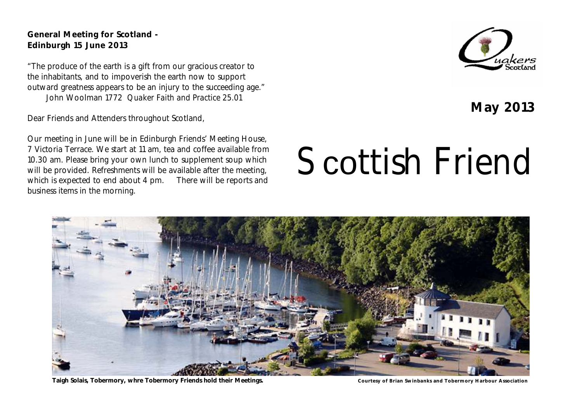**General Meeting for Scotland - Edinburgh 15 June 2013**

"The produce of the earth is a gift from our gracious creator to the inhabitants, and to impoverish the earth now to support outward greatness appears to be an injury to the succeeding age." John Woolman 1772 *Quaker Faith and Practice 25.01*

Dear Friends and Attenders throughout Scotland,

Our meeting in June will be in Edinburgh Friends' Meeting House, 7 Victoria Terrace. We start at 11 am, tea and coffee available from 10.30 am. Please bring your own lunch to supplement soup which will be provided. Refreshments will be available after the meeting, which is expected to end about 4 pm. There will be reports and business items in the morning.



**May 2013** 

# Scottish Friend



**Taigh Solais, Tobermory, whre Tobermory Friends hold their Meetings. Courtesy of Brian Swinbanks and Tobermory Harbour Association**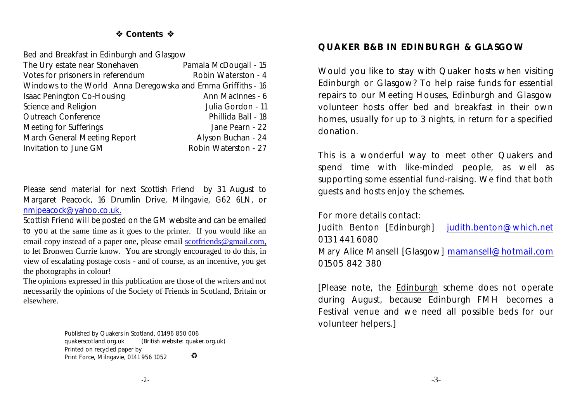#### **☆ Contents ☆**

Bed and Breakfast in Edinburgh and Glasgow

| The Ury estate near Stonehaven                               | Pamala McDougall - 15 |
|--------------------------------------------------------------|-----------------------|
| Votes for prisoners in referendum                            | Robin Waterston - 4   |
| Windows to the World Anna Deregowska and Emma Griffiths - 16 |                       |
| Isaac Penington Co-Housing                                   | Ann MacInnes - 6      |
| Science and Religion                                         | Julia Gordon - 11     |
| <b>Outreach Conference</b>                                   | Phillida Ball - 18    |
| Meeting for Sufferings                                       | Jane Pearn - 22       |
| March General Meeting Report                                 | Alyson Buchan - 24    |
| Invitation to June GM                                        | Robin Waterston - 27  |
|                                                              |                       |

Please send material for next *Scottish Friend* by 31 August to Margaret Peacock, 16 Drumlin Drive, Milngavie, G62 6LN, or [nmjpeacock@yahoo.co.uk.](mailto:nmjpeacock@yahoo.co.uk.)

*Scottish Friend* will be posted on the GM website and can be emailed to you at the same time as it goes to the printer. If you would like an email copy instead of a paper one, please email [scotfriends@gmail.com,](mailto:scotfriends@aol.com,) to let Bronwen Currie know. You are strongly encouraged to do this, in view of escalating postage costs - and of course, as an incentive, you get the photographs in colour!

The opinions expressed in this publication are those of the writers and not necessarily the opinions of the Society of Friends in Scotland, Britain or elsewhere.

> Published by Quakers in Scotland, 01496 850 006 quakerscotland.org.uk (British website: quaker.org.uk) Printed on recycled paper by  $\bullet$ Print Force, Milngavie, 0141 956 1052

## **QUAKER B&B IN EDINBURGH & GLASGOW**

Would you like to stay with Quaker hosts when visiting Edinburgh or Glasgow? To help raise funds for essential repairs to our Meeting Houses, Edinburgh and Glasgow volunteer hosts offer bed and breakfast in their own homes, usually for up to 3 nights, in return for a specified donation.

This is a wonderful way to meet other Quakers and spend time with like-minded people, as well as supporting some essential fund-raising. We find that both guests and hosts enjoy the schemes.

For more details contact: Judith Benton [Edinburgh] [judith.benton@which.net](mailto:judith.benton@which.net) 0131 441 6080 Mary Alice Mansell [Glasgow] [mamansell@hotmail.com](mailto:mamansell69@hotmail.com ) 01505 842 380

[Please note, the Edinburgh scheme does not operate during August, because Edinburgh FMH becomes a Festival venue and we need all possible beds for our volunteer helpers.]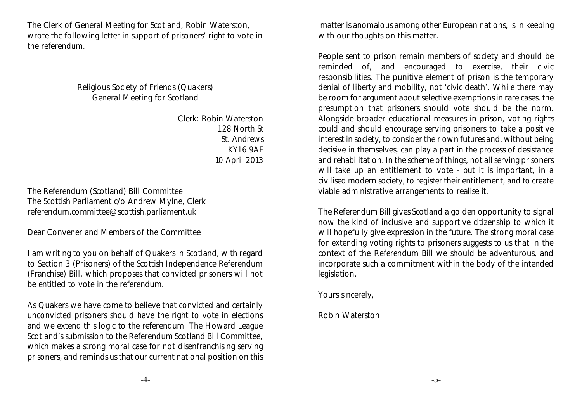The Clerk of General Meeting for Scotland, Robin Waterston, wrote the following letter in support of prisoners' right to vote in the referendum.

> Religious Society of Friends (Quakers) General Meeting for Scotland

> > Clerk: Robin Waterston *128 North St St. Andrews KY16 9AF* 10 April 2013

The Referendum (Scotland) Bill Committee The Scottish Parliament c/o Andrew Mylne, Clerk referendum.committee@scottish.parliament.uk

Dear Convener and Members of the Committee

I am writing to you on behalf of Quakers in Scotland, with regard to Section 3 (Prisoners) of the Scottish Independence Referendum (Franchise) Bill, which proposes that convicted prisoners will not be entitled to vote in the referendum.

As Quakers we have come to believe that convicted and certainly unconvicted prisoners should have the right to vote in elections and we extend this logic to the referendum. The Howard League Scotland's submission to the Referendum Scotland Bill Committee, which makes a strong moral case for not disenfranchising serving prisoners, and reminds us that our current national position on this

 matter is anomalous among other European nations, is in keeping with our thoughts on this matter.

People sent to prison remain members of society and should be reminded of, and encouraged to exercise, their civic responsibilities. The punitive element of prison is the temporary denial of liberty and mobility, not 'civic death'. While there may be room for argument about selective exemptions in rare cases, the presumption that prisoners should vote should be the norm. Alongside broader educational measures in prison, voting rights could and should encourage serving prisoners to take a positive interest in society, to consider their own futures and, without being decisive in themselves, can play a part in the process of desistance and rehabilitation. In the scheme of things, not all serving prisoners will take up an entitlement to vote - but it is important, in a civilised modern society, to register their entitlement, and to create viable administrative arrangements to realise it.

The Referendum Bill gives Scotland a golden opportunity to signal now the kind of inclusive and supportive citizenship to which it will hopefully give expression in the future. The strong moral case for extending voting rights to prisoners suggests to us that in the context of the Referendum Bill we should be adventurous, and incorporate such a commitment within the body of the intended legislation.

Yours sincerely,

Robin Waterston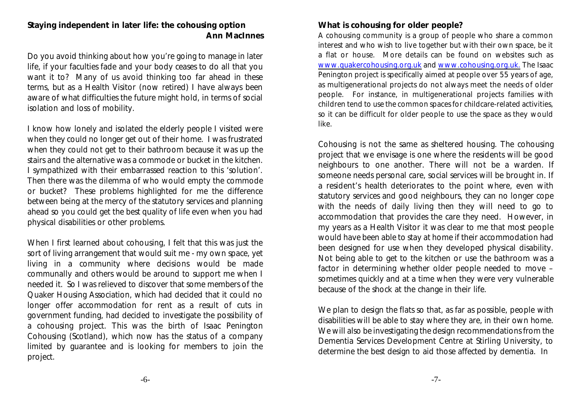## **Staying independent in later life: the cohousing option Ann MacInnes**

Do you avoid thinking about how you're going to manage in later life, if your faculties fade and your body ceases to do all that you want it to? Many of us avoid thinking too far ahead in these terms, but as a Health Visitor (now retired) I have always been aware of what difficulties the future might hold, in terms of social isolation and loss of mobility.

I know how lonely and isolated the elderly people I visited were when they could no longer get out of their home. I was frustrated when they could not get to their bathroom because it was up the stairs and the alternative was a commode or bucket in the kitchen. I sympathized with their embarrassed reaction to this 'solution'. Then there was the dilemma of who would empty the commode or bucket? These problems highlighted for me the difference between being at the mercy of the statutory services and planning ahead so you could get the best quality of life even when you had physical disabilities or other problems.

When I first learned about cohousing, I felt that this was just the sort of living arrangement that would suit me - my own space, yet living in a community where decisions would be made communally and others would be around to support me when I needed it. So I was relieved to discover that some members of the Quaker Housing Association, which had decided that it could no longer offer accommodation for rent as a result of cuts in government funding, had decided to investigate the possibility of a cohousing project. This was the birth of Isaac Penington Cohousing (Scotland), which now has the status of a company limited by guarantee and is looking for members to join the project.

## **What is cohousing for older people?**

A cohousing community is a group of people who share a common interest and who wish to live together but with their own space, be it a flat or house. More details can be found on websites such as [www.quakercohousing.org.uk](http://www.quakercohousing.org.uk) and [www.cohousing.org.uk](http://www.cohousing). The Isaac Penington project is specifically aimed at people over 55 years of age, as multigenerational projects do not always meet the needs of older people. For instance, in multigenerational projects families with children tend to use the common spaces for childcare-related activities, so it can be difficult for older people to use the space as they would like.

Cohousing is not the same as sheltered housing. The cohousing project that we envisage is one where the residents will be good neighbours to one another. There will not be a warden. If someone needs personal care, social services will be brought in. If a resident's health deteriorates to the point where, even with statutory services and good neighbours, they can no longer cope with the needs of daily living then they will need to go to accommodation that provides the care they need. However, in my years as a Health Visitor it was clear to me that most people would have been able to stay at home if their accommodation had been designed for use when they developed physical disability. Not being able to get to the kitchen or use the bathroom was a factor in determining whether older people needed to move – sometimes quickly and at a time when they were very vulnerable because of the shock at the change in their life.

We plan to design the flats so that, as far as possible, people with disabilities will be able to stay where they are, in their own home. We will also be investigating the design recommendations from the Dementia Services Development Centre at Stirling University, to determine the best design to aid those affected by dementia. In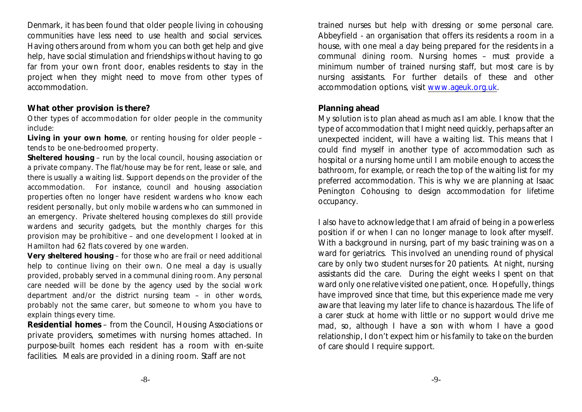Denmark, it has been found that older people living in cohousing communities have less need to use health and social services. Having others around from whom you can both get help and give help, have social stimulation and friendships without having to go far from your own front door, enables residents to stay in the project when they might need to move from other types of accommodation.

#### **What other provision is there?**

Other types of accommodation for older people in the community include:

**Living in your own home**, or renting housing for older people – tends to be one-bedroomed property.

**Sheltered housing** – run by the local council, housing association or a private company. The flat/house may be for rent, lease or sale, and there is usually a waiting list. Support depends on the provider of the accommodation. For instance, council and housing association properties often no longer have resident wardens who know each resident personally, but only mobile wardens who can summoned in an emergency. Private sheltered housing complexes do still provide wardens and security gadgets, but the monthly charges for this provision may be prohibitive – and one development I looked at in Hamilton had 62 flats covered by one warden.

**Very sheltered housing** – for those who are frail or need additional help to continue living on their own. One meal a day is usually provided, probably served in a communal dining room. Any personal care needed will be done by the agency used by the social work department and/or the district nursing team – in other words, probably not the same carer, but someone to whom you have to explain things every time.

**Residential homes** – from the Council, Housing Associations or private providers, sometimes with nursing homes attached. In purpose-built homes each resident has a room with en-suite facilities. Meals are provided in a dining room. Staff are not

trained nurses but help with dressing or some personal care. Abbeyfield - an organisation that offers its residents a room in a house, with one meal a day being prepared for the residents in a communal dining room. Nursing homes – must provide a minimum number of trained nursing staff, but most care is by nursing assistants. For further details of these and other accommodation options, visit [www.ageuk.org.uk](http://www.ageuk.org.uk).

#### **Planning ahead**

My solution is to plan ahead as much as I am able. I know that the type of accommodation that I might need quickly, perhaps after an unexpected incident, will have a waiting list. This means that I could find myself in another type of accommodation such as hospital or a nursing home until I am mobile enough to access the bathroom, for example, or reach the top of the waiting list for my preferred accommodation. This is why we are planning at Isaac Penington Cohousing to design accommodation for lifetime occupancy.

I also have to acknowledge that I am afraid of being in a powerless position if or when I can no longer manage to look after myself. With a background in nursing, part of my basic training was on a ward for geriatrics. This involved an unending round of physical care by only two student nurses for 20 patients. At night, nursing assistants did the care. During the eight weeks I spent on that ward only one relative visited one patient, once. Hopefully, things have improved since that time, but this experience made me very aware that leaving my later life to chance is hazardous. The life of a carer stuck at home with little or no support would drive me mad, so, although I have a son with whom I have a good relationship, I don't expect him or his family to take on the burden of care should I require support.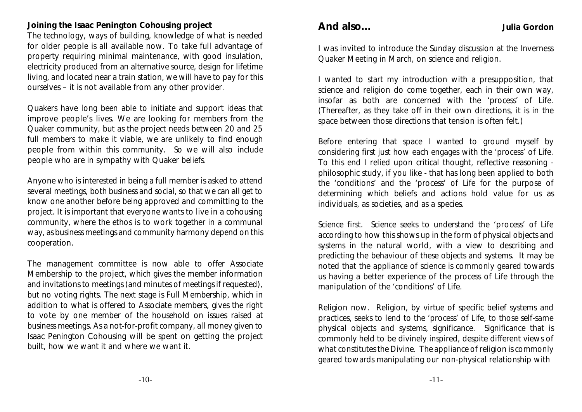**Joining the Isaac Penington Cohousing project** The technology, ways of building, knowledge of what is needed for older people is all available now. To take full advantage of property requiring minimal maintenance, with good insulation, electricity produced from an alternative source, design for lifetime living, and located near a train station, we will have to pay for this ourselves – it is not available from any other provider.

Quakers have long been able to initiate and support ideas that improve people's lives. We are looking for members from the Quaker community, but as the project needs between 20 and 25 full members to make it viable, we are unlikely to find enough people from within this community. So we will also include people who are in sympathy with Quaker beliefs.

Anyone who is interested in being a full member is asked to attend several meetings, both business and social, so that we can all get to know one another before being approved and committing to the project. It is important that everyone wants to live in a cohousing community, where the ethos is to work together in a communal way, as business meetings and community harmony depend on this cooperation.

The management committee is now able to offer Associate Membership to the project, which gives the member information and invitations to meetings (and minutes of meetings if requested), but no voting rights. The next stage is Full Membership, which in addition to what is offered to Associate members, gives the right to vote by one member of the household on issues raised at business meetings. As a not-for-profit company, all money given to Isaac Penington Cohousing will be spent on getting the project built, how we want it and where we want it.

**And also... Julia Gordon**

I was invited to introduce the Sunday discussion at the Inverness Quaker Meeting in March, on science and religion.

I wanted to start my introduction with a presupposition, that science and religion do come together, each in their own way, insofar as both are concerned with the 'process' of Life. (Thereafter, as they take off in their own directions, it is in the space between those directions that tension is often felt.)

Before entering that space I wanted to ground myself by considering first just how each engages with the 'process' of Life. To this end I relied upon critical thought, reflective reasoning philosophic study, if you like - that has long been applied to both the 'conditions' and the 'process' of Life for the purpose of determining which beliefs and actions hold value for us as individuals, as societies, and as a species.

Science first. Science seeks to understand the 'process' of Life according to how this shows up in the form of physical objects and systems in the natural world, with a view to describing and predicting the behaviour of these objects and systems. It may be noted that the appliance of science is commonly geared towards us having a better experience of the process of Life through the manipulation of the 'conditions' of Life.

Religion now. Religion, by virtue of specific belief systems and practices, seeks to lend to the 'process' of Life, to those self-same physical objects and systems, significance. Significance that is commonly held to be divinely inspired, despite different views of what constitutes the Divine. The appliance of religion is commonly geared towards manipulating our non-physical relationship with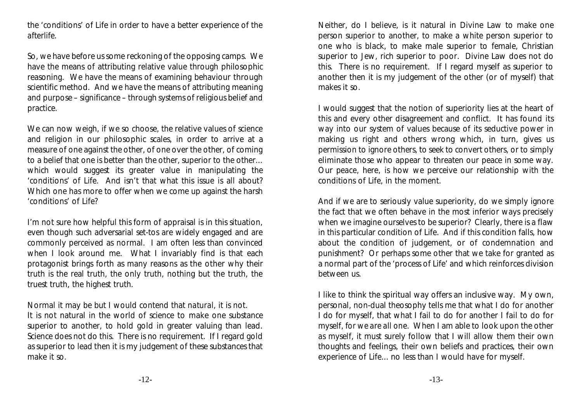the 'conditions' of Life in order to have a better experience of the *afterlife*.

So, we have before us some reckoning of the opposing camps. We have the means of attributing relative value through philosophic reasoning. We have the means of examining behaviour through scientific method. And we have the means of attributing meaning and purpose – significance – through systems of religious belief and practice.

We can now weigh, if we so choose, the relative values of science and religion in our philosophic scales, in order to arrive at a measure of one against the other, of one over the other, of coming to a belief that one is better than the other, superior to the other... which would suggest its greater value in manipulating the 'conditions' of Life. And isn't that what this issue is all about? Which one has more to offer when we come up against the harsh 'conditions' of Life?

I'm not sure how helpful this form of appraisal is in this situation, even though such adversarial set-tos are widely engaged and are commonly perceived as normal. I am often less than convinced when I look around me. What I invariably find is that each protagonist brings forth as many reasons as the other why their truth is the real truth, the only truth, nothing but the truth, the truest truth, the highest truth.

Normal it may be but I would contend that *natural*, it is not. It is not natural in the world of science to make one substance superior to another, to hold gold in greater valuing than lead. Science does not do this. There is no requirement. If I regard gold as superior to lead then it is my judgement of these substances that make it so.

Neither, do I believe, is it natural in Divine Law to make one person superior to another, to make a white person superior to one who is black, to make male superior to female, Christian superior to Jew, rich superior to poor. Divine Law does not do this. There is no requirement. If I regard myself as superior to another then it is my judgement of the other (or of myself) that makes it so.

I would suggest that the notion of superiority lies at the heart of this and every other disagreement and conflict. It has found its way into our system of values because of its seductive power in making us right and others wrong which, in turn, gives us permission to ignore others, to seek to convert others, or to simply eliminate those who appear to threaten our peace in some way. Our *peace*, here, is how we perceive our relationship with the conditions of Life, in the moment.

And if we are to seriously value superiority, do we simply ignore the fact that we often behave in the most inferior ways precisely when we imagine ourselves to be superior? Clearly, there is a flaw in *this* particular condition of Life. And if this condition falls, how about the condition of judgement, or of condemnation and punishment? Or perhaps some other that we take for granted as a normal part of the 'process of Life' and which reinforces division between us.

I like to think the spiritual way offers an inclusive way. My own, personal, non-dual theosophy tells me that what I do for another I do for myself, that what I fail to do for another I fail to do for myself, *for we are all one*. When I am able to look upon the other *as* myself, it must surely follow that I will allow them their own thoughts and feelings, their own beliefs and practices, their own experience of Life... no less than I would have for myself.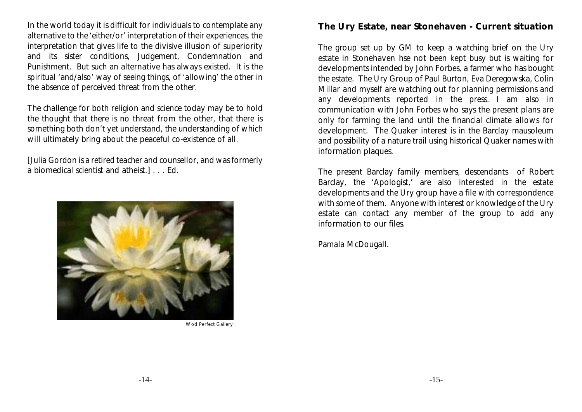In the world today it is difficult for individuals to contemplate any alternative to the 'either/or' interpretation of their experiences, the interpretation that gives life to the divisive illusion of superiority and its sister conditions, Judgement, Condemnation and Punishment. But such an alternative has always existed. It is the spiritual 'and/also' way of seeing things, of 'allowing' the other in the absence of perceived threat *from* the other.

The challenge for both religion and science today may be to hold the thought that there *is* no threat from the other, that there is something both don't yet understand, the understanding of which will ultimately bring about the peaceful co-existence of all.

[Julia Gordon is a retired teacher and counsellor, and was formerly a biomedical scientist and atheist.] . . . Ed.



Wod Perfect Gallery

## **The Ury Estate, near Stonehaven - Current situation**

The group set up by GM to keep a watching brief on the Ury estate in Stonehaven hse not been kept busy but is waiting for developments intended by John Forbes, a farmer who has bought the estate. The Ury Group of Paul Burton, Eva Deregowska, Colin Millar and myself are watching out for planning permissions and any developments reported in the press. I am also in communication with John Forbes who says the present plans are only for farming the land until the financial climate allows for development. The Quaker interest is in the Barclay mausoleum and possibility of a nature trail using historical Quaker names with information plaques.

The present Barclay family members, descendants of Robert Barclay, the 'Apologist,' are also interested in the estate developments and the Ury group have a file with correspondence with some of them. Anyone with interest or knowledge of the Ury estate can contact any member of the group to add any information to our files.

Pamala McDougall.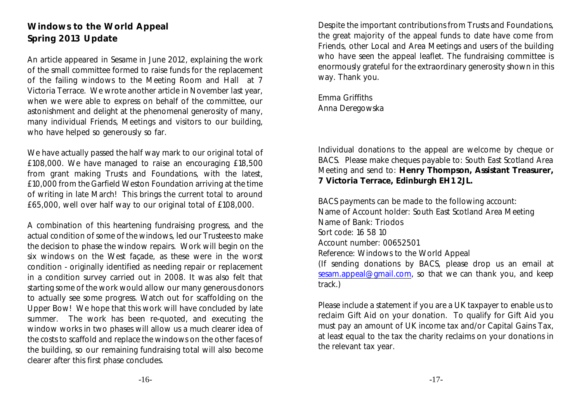# **Windows to the World Appeal Spring 2013 Update**

An article appeared in Sesame in June 2012, explaining the work of the small committee formed to raise funds for the replacement of the failing windows to the Meeting Room and Hall at 7 Victoria Terrace. We wrote another article in November last year, when we were able to express on behalf of the committee, our astonishment and delight at the phenomenal generosity of many, many individual Friends, Meetings and visitors to our building, who have helped so generously so far.

We have actually passed the half way mark to our original total of £108,000. We have managed to raise an encouraging £18,500 from grant making Trusts and Foundations, with the latest, £10,000 from the Garfield Weston Foundation arriving at the time of writing in late March! This brings the current total to around £65,000, well over half way to our original total of £108,000.

A combination of this heartening fundraising progress, and the actual condition of some of the windows, led our Trustees to make the decision to phase the window repairs. Work will begin on the six windows on the West façade, as these were in the worst condition - originally identified as needing repair or replacement in a condition survey carried out in 2008. It was also felt that starting some of the work would allow our many generous donors to actually see some progress. Watch out for scaffolding on the Upper Bow! We hope that this work will have concluded by late summer. The work has been re-quoted, and executing the window works in two phases will allow us a much clearer idea of the costs to scaffold and replace the windows on the other faces of the building, so our remaining fundraising total will also become clearer after this first phase concludes.

Despite the important contributions from Trusts and Foundations, the great majority of the appeal funds to date have come from Friends, other Local and Area Meetings and users of the building who have seen the appeal leaflet. The fundraising committee is enormously grateful for the extraordinary generosity shown in this way. Thank you.

Emma Griffiths Anna Deregowska

Individual donations to the appeal are welcome by cheque or BACS. Please make cheques payable to: *South East Scotland Area Meeting* and send to: **Henry Thompson, Assistant Treasurer, 7 Victoria Terrace, Edinburgh EH1 2JL.** 

BACS payments can be made to the following account: Name of Account holder: South East Scotland Area Meeting Name of Bank: Triodos *Sort code*: 16 58 10 Account number: 00652501 *Re*ference: Windows to the World Appeal (If sending donations by BACS, please drop us an email at [sesam.appeal@gmail.com](mailto:sesam.appeal@gmail.com), so that we can thank you, and keep track.)

Please include a statement if you are a UK taxpayer to enable us to reclaim Gift Aid on your donation. To qualify for Gift Aid you must pay an amount of UK income tax and/or Capital Gains Tax, at least equal to the tax the charity reclaims on your donations in the relevant tax year.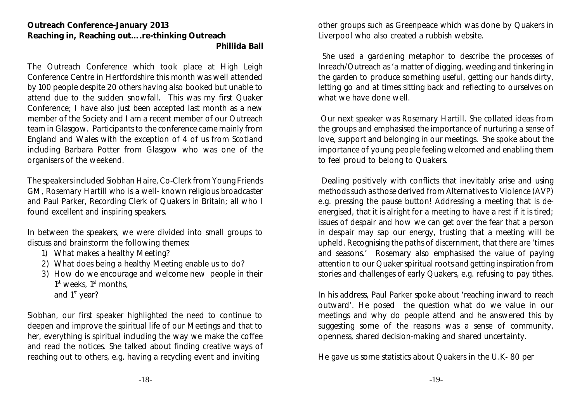#### **Outreach Conference-January 2013 Reaching in, Reaching out….re-thinking Outreach Phillida Ball**

The Outreach Conference which took place at High Leigh Conference Centre in Hertfordshire this month was well attended by 100 people despite 20 others having also booked but unable to attend due to the sudden snowfall. This was my first Quaker Conference; I have also just been accepted last month as a new member of the Society and I am a recent member of our Outreach team in Glasgow. Participants to the conference came mainly from England and Wales with the exception of 4 of us from Scotland including Barbara Potter from Glasgow who was one of the organisers of the weekend.

The speakers included Siobhan Haire, Co-Clerk from Young Friends GM, Rosemary Hartill who is a well- known religious broadcaster and Paul Parker, Recording Clerk of Quakers in Britain; all who I found excellent and inspiring speakers.

In between the speakers, we were divided into small groups to discuss and brainstorm the following themes:

- 1) What makes a healthy Meeting?
- 2) What does being a healthy Meeting enable us to do?
- 3) How do we encourage and welcome new people in their  $1<sup>st</sup>$  weeks,  $1<sup>st</sup>$  months, and  $1<sup>st</sup>$  year?

Siobhan, our first speaker highlighted the need to continue to deepen and improve the spiritual life of our Meetings and that to her, everything is spiritual including the way we make the coffee and read the notices. She talked about finding creative ways of reaching out to others, e.g. having a recycling event and inviting

other groups such as Greenpeace which was done by Quakers in Liverpool who also created a rubbish website.

 She used a gardening metaphor to describe the processes of Inreach/Outreach as 'a matter of digging, weeding and tinkering in the garden to produce something useful, getting our hands dirty, letting go and at times sitting back and reflecting to ourselves on what we have done well

 Our next speaker was Rosemary Hartill. She collated ideas from the groups and emphasised the importance of nurturing a sense of love, support and belonging in our meetings. She spoke about the importance of young people feeling welcomed and enabling them to feel proud to belong to Quakers.

 Dealing positively with conflicts that inevitably arise and using methods such as those derived from Alternatives to Violence (AVP) e.g. pressing the pause button! Addressing a meeting that is deenergised, that it is alright for a meeting to have a rest if it is tired; issues of despair and how we can get over the fear that a person in despair may sap our energy, trusting that a meeting will be upheld. Recognising the paths of discernment, that there are 'times and seasons.' Rosemary also emphasised the value of paying attention to our Quaker spiritual roots and getting inspiration from stories and challenges of early Quakers, e.g. refusing to pay tithes.

In his address, Paul Parker spoke about 'reaching inward to reach outward'. He posed the question what do we value in our meetings and why do people attend and he answered this by suggesting some of the reasons was a sense of community, openness, shared decision-making and shared uncertainty.

He gave us some statistics about Quakers in the U.K- 80 per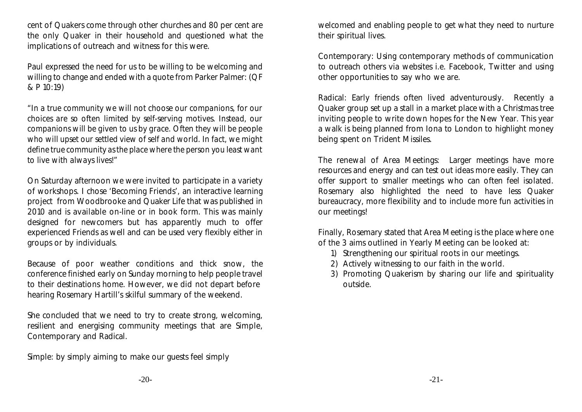cent of Quakers come through other churches and 80 per cent are the only Quaker in their household and questioned what the implications of outreach and witness for this were.

Paul expressed the need for us to be willing to be welcoming and willing to change and ended with a quote from Parker Palmer: (QF & P 10:19)

*"In a true community we will not choose our companions, for our choices are so often limited by self-serving motives. Instead, our companions will be given to us by grace. Often they will be people who will upset our settled view of self and world. In fact, we might define true community as the place where the person you least want to live with always lives!"*

On Saturday afternoon we were invited to participate in a variety of workshops. I chose 'Becoming Friends', an interactive learning project from Woodbrooke and Quaker Life that was published in 2010 and is available on-line or in book form. This was mainly designed for newcomers but has apparently much to offer experienced Friends as well and can be used very flexibly either in groups or by individuals.

Because of poor weather conditions and thick snow, the conference finished early on Sunday morning to help people travel to their destinations home. However, we did not depart before hearing Rosemary Hartill's skilful summary of the weekend.

She concluded that we need to try to create strong, welcoming, resilient and energising community meetings that are Simple, Contemporary and Radical.

Simple: by simply aiming to make our guests feel simply

welcomed and enabling people to get what they need to nurture their spiritual lives.

Contemporary: Using contemporary methods of communication to outreach others via websites i.e. Facebook, Twitter and using other opportunities to say who we are.

Radical: Early friends often lived adventurously. Recently a Quaker group set up a stall in a market place with a Christmas tree inviting people to write down hopes for the New Year. This year a walk is being planned from Iona to London to highlight money being spent on Trident Missiles.

The renewal of Area Meetings: Larger meetings have more resources and energy and can test out ideas more easily. They can offer support to smaller meetings who can often feel isolated. Rosemary also highlighted the need to have less Quaker bureaucracy, more flexibility and to include more fun activities in our meetings!

Finally, Rosemary stated that Area Meeting is the place where one of the 3 aims outlined in Yearly Meeting can be looked at:

- 1) Strengthening our spiritual roots in our meetings.
- 2) Actively witnessing to our faith in the world.
- 3) Promoting Quakerism by sharing our life and spirituality outside.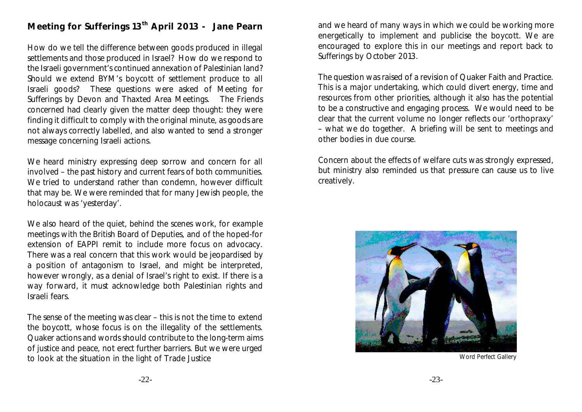# **Meeting for Sufferings 13<sup>th</sup> April 2013 - Jane Pearn**

How do we tell the difference between goods produced in illegal settlements and those produced in Israel? How do we respond to the Israeli government's continued annexation of Palestinian land? Should we extend BYM's boycott of settlement produce to all Israeli goods? These questions were asked of Meeting for Sufferings by Devon and Thaxted Area Meetings. The Friends concerned had clearly given the matter deep thought: they were finding it difficult to comply with the original minute, as goods are not always correctly labelled, and also wanted to send a stronger message concerning Israeli actions.

We heard ministry expressing deep sorrow and concern for all involved – the past history and current fears of both communities. We tried to understand rather than condemn, however difficult that may be. We were reminded that for many Jewish people, the holocaust was 'yesterday'.

We also heard of the quiet, behind the scenes work, for example meetings with the British Board of Deputies, and of the hoped-for extension of EAPPI remit to include more focus on advocacy. There was a real concern that this work would be jeopardised by a position of antagonism to Israel, and might be interpreted, however wrongly, as a denial of Israel's right to exist. If there is a way forward, it must acknowledge both Palestinian rights and Israeli fears.

The sense of the meeting was clear – this is not the time to extend the boycott, whose focus is on the illegality of the settlements. Quaker actions and words should contribute to the long-term aims of justice and peace, not erect further barriers. But we were urged to look at the situation in the light of Trade Justice

and we heard of many ways in which we could be working more energetically to implement and publicise the boycott. We are encouraged to explore this in our meetings and report back to Sufferings by October 2013.

The question was raised of a revision of Quaker Faith and Practice. This is a major undertaking, which could divert energy, time and resources from other priorities, although it also has the potential to be a constructive and engaging process. We would need to be clear that the current volume no longer reflects our 'orthopraxy' – what we do together. A briefing will be sent to meetings and other bodies in due course.

Concern about the effects of welfare cuts was strongly expressed, but ministry also reminded us that pressure can cause us to live creatively.

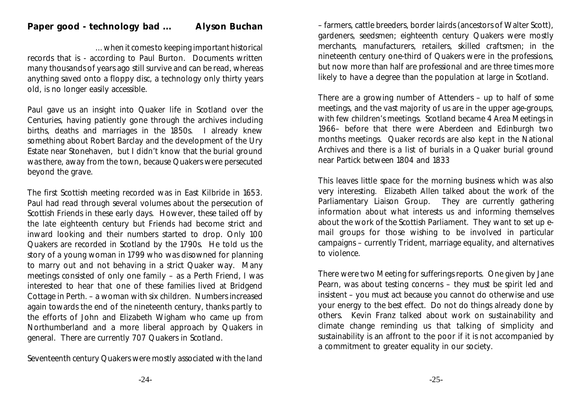# **Paper good - technology bad ... Alyson Buchan**

... when it comes to keeping important historical

records that is - according to Paul Burton. Documents written many thousands of years ago still survive and can be read, whereas anything saved onto a floppy disc, a technology only thirty years old, is no longer easily accessible.

Paul gave us an insight into Quaker life in Scotland over the Centuries, having patiently gone through the archives including births, deaths and marriages in the 1850s. I already knew something about Robert Barclay and the development of the Ury Estate near Stonehaven, but I didn't know that the burial ground was there, away from the town, because Quakers were persecuted beyond the grave.

The first Scottish meeting recorded was in East Kilbride in 1653. Paul had read through several volumes about the persecution of Scottish Friends in these early days. However, these tailed off by the late eighteenth century but Friends had become strict and inward looking and their numbers started to drop. Only 100 Quakers are recorded in Scotland by the 1790s. He told us the story of a young woman in 1799 who was disowned for planning to marry out and not behaving in a strict Quaker way. Many meetings consisted of only one family – as a Perth Friend, I was interested to hear that one of these families lived at Bridgend Cottage in Perth. – a woman with six children. Numbers increased again towards the end of the nineteenth century, thanks partly to the efforts of John and Elizabeth Wigham who came up from Northumberland and a more liberal approach by Quakers in general. There are currently 707 Quakers in Scotland.

Seventeenth century Quakers were mostly associated with the land

– farmers, cattle breeders, border lairds (ancestors of Walter Scott), gardeners, seedsmen; eighteenth century Quakers were mostly merchants, manufacturers, retailers, skilled craftsmen; in the nineteenth century one-third of Quakers were in the professions, but now more than half are professional and are three times more likely to have a degree than the population at large in Scotland.

There are a growing number of Attenders – up to half of some meetings, and the vast majority of us are in the upper age-groups, with few children's meetings. Scotland became 4 Area Meetings in 1966– before that there were Aberdeen and Edinburgh two months meetings. Quaker records are also kept in the National Archives and there is a list of burials in a Quaker burial ground near Partick between 1804 and 1833

This leaves little space for the morning business which was also very interesting. Elizabeth Allen talked about the work of the Parliamentary Liaison Group. They are currently gathering information about what interests us and informing themselves about the work of the Scottish Parliament. They want to set up email groups for those wishing to be involved in particular campaigns – currently Trident, marriage equality, and alternatives to violence.

There were two Meeting for sufferings reports. One given by Jane Pearn, was about testing concerns – they must be spirit led and insistent – you must act because you cannot do otherwise and use your energy to the best effect. Do not do things already done by others. Kevin Franz talked about work on sustainability and climate change reminding us that talking of simplicity and sustainability is an affront to the poor if it is not accompanied by a commitment to greater equality in our society.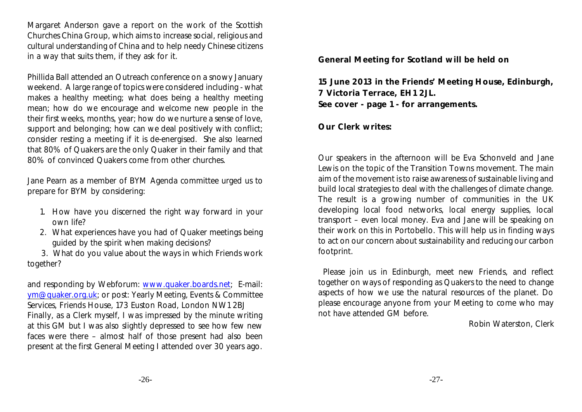Margaret Anderson gave a report on the work of the Scottish Churches China Group, which aims to increase social, religious and cultural understanding of China and to help needy Chinese citizens in a way that suits them, if they ask for it.

Phillida Ball attended an Outreach conference on a snowy January weekend. A large range of topics were considered including - what makes a healthy meeting; what does being a healthy meeting mean; how do we encourage and welcome new people in the their first weeks, months, year; how do we nurture a sense of love, support and belonging; how can we deal positively with conflict; consider resting a meeting if it is de-energised. She also learned that 80% of Quakers are the only Quaker in their family and that 80% of convinced Quakers come from other churches.

Jane Pearn as a member of BYM Agenda committee urged us to prepare for BYM by considering:

- 1. How have you discerned the right way forward in your own life?
- 2. What experiences have you had of Quaker meetings being guided by the spirit when making decisions?

 3. What do you value about the ways in which Friends work together?

and responding by Webforum: [www.quaker.boards.net](http://www.quaker.boards.net); E-mail: [ym@quaker.org.uk](mailto:ym@quaker.org.uk); or post: Yearly Meeting, Events & Committee Services, Friends House, 173 Euston Road, London NW1 2BJ Finally, as a Clerk myself, I was impressed by the minute writing at this GM but I was also slightly depressed to see how few new faces were there – almost half of those present had also been present at the first General Meeting I attended over 30 years ago.

**General Meeting for Scotland will be held on** 

**15 June 2013 in the Friends' Meeting House, Edinburgh, 7 Victoria Terrace, EH1 2JL. See cover - page 1 - for arrangements.**

**Our Clerk writes:**

Our speakers in the afternoon will be Eva Schonveld and Jane Lewis on the topic of the Transition Towns movement. The main aim of the movement is to raise awareness of sustainable living and build local strategies to deal with the challenges of climate change. The result is a growing number of communities in the UK developing local food networks, local energy supplies, local transport – even local money. Eva and Jane will be speaking on their work on this in Portobello. This will help us in finding ways to act on our concern about sustainability and reducing our carbon footprint.

 Please join us in Edinburgh, meet new Friends, and reflect together on ways of responding as Quakers to the need to change aspects of how we use the natural resources of the planet. Do please encourage anyone from your Meeting to come who may not have attended GM before.

Robin Waterston, Clerk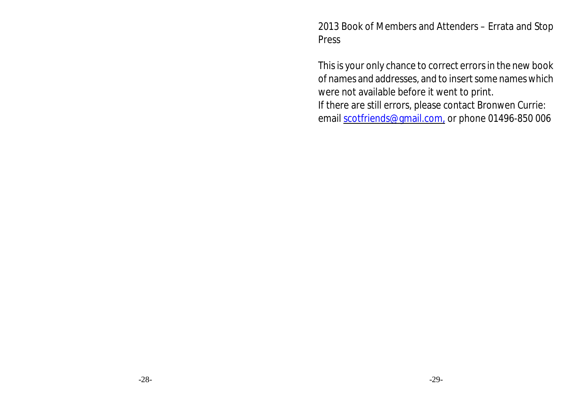2013 Book of Members and Attenders – Errata and Stop Press

This is your only chance to correct errors in the new book of names and addresses, and to insert some names which were not available before it went to print. If there are still errors, please contact Bronwen Currie: email [scotfriends@gmail.com,](mailto:scotfriends@gmail.com,) or phone 01496-850 006